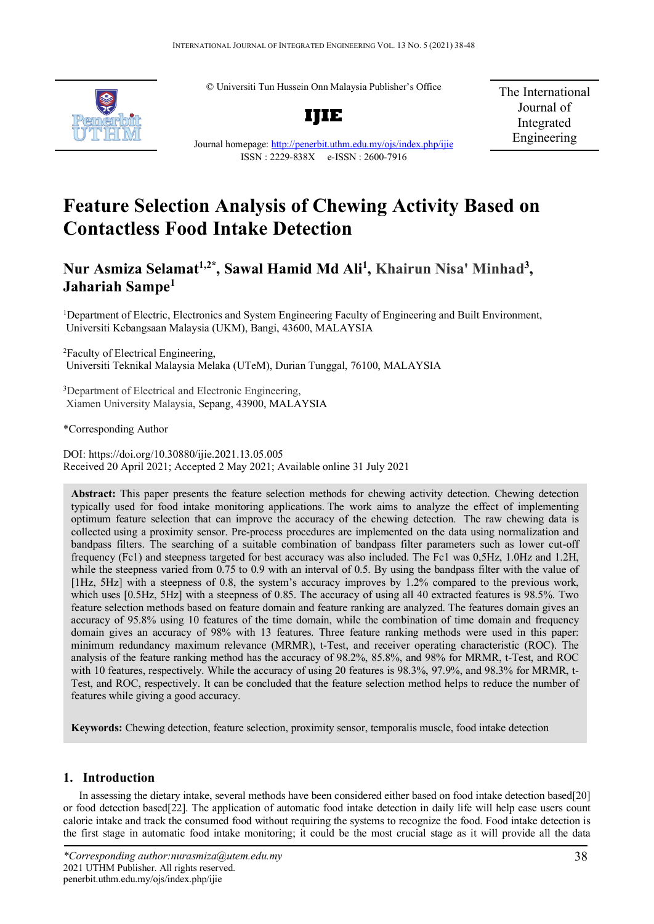© Universiti Tun Hussein Onn Malaysia Publisher's Office



**IJIE**

The International Journal of Integrated Engineering

Journal homepage:<http://penerbit.uthm.edu.my/ojs/index.php/ijie> ISSN : 2229-838X e-ISSN : 2600-7916

# **Feature Selection Analysis of Chewing Activity Based on Contactless Food Intake Detection**

# **Nur Asmiza Selamat1,2\*, Sawal Hamid Md Ali1 , Khairun Nisa' Minhad3 , Jahariah Sampe1**

<sup>1</sup>Department of Electric, Electronics and System Engineering Faculty of Engineering and Built Environment, Universiti Kebangsaan Malaysia (UKM), Bangi, 43600, MALAYSIA

2 Faculty of Electrical Engineering, Universiti Teknikal Malaysia Melaka (UTeM), Durian Tunggal, 76100, MALAYSIA

<sup>3</sup>Department of Electrical and Electronic Engineering, Xiamen University Malaysia, Sepang, 43900, MALAYSIA

\*Corresponding Author

DOI: https://doi.org/10.30880/ijie.2021.13.05.005 Received 20 April 2021; Accepted 2 May 2021; Available online 31 July 2021

**Abstract:** This paper presents the feature selection methods for chewing activity detection. Chewing detection typically used for food intake monitoring applications. The work aims to analyze the effect of implementing optimum feature selection that can improve the accuracy of the chewing detection. The raw chewing data is collected using a proximity sensor. Pre-process procedures are implemented on the data using normalization and bandpass filters. The searching of a suitable combination of bandpass filter parameters such as lower cut-off frequency (Fc1) and steepness targeted for best accuracy was also included. The Fc1 was 0,5Hz, 1.0Hz and 1.2H, while the steepness varied from 0.75 to 0.9 with an interval of 0.5. By using the bandpass filter with the value of [1Hz, 5Hz] with a steepness of 0.8, the system's accuracy improves by 1.2% compared to the previous work, which uses [0.5Hz, 5Hz] with a steepness of 0.85. The accuracy of using all 40 extracted features is 98.5%. Two feature selection methods based on feature domain and feature ranking are analyzed. The features domain gives an accuracy of 95.8% using 10 features of the time domain, while the combination of time domain and frequency domain gives an accuracy of 98% with 13 features. Three feature ranking methods were used in this paper: minimum redundancy maximum relevance (MRMR), t-Test, and receiver operating characteristic (ROC). The analysis of the feature ranking method has the accuracy of 98.2%, 85.8%, and 98% for MRMR, t-Test, and ROC with 10 features, respectively. While the accuracy of using 20 features is 98.3%, 97.9%, and 98.3% for MRMR, t-Test, and ROC, respectively. It can be concluded that the feature selection method helps to reduce the number of features while giving a good accuracy.

**Keywords:** Chewing detection, feature selection, proximity sensor, temporalis muscle, food intake detection

# **1. Introduction**

In assessing the dietary intake, several methods have been considered either based on food intake detection based[20] or food detection based[22]. The application of automatic food intake detection in daily life will help ease users count calorie intake and track the consumed food without requiring the systems to recognize the food. Food intake detection is the first stage in automatic food intake monitoring; it could be the most crucial stage as it will provide all the data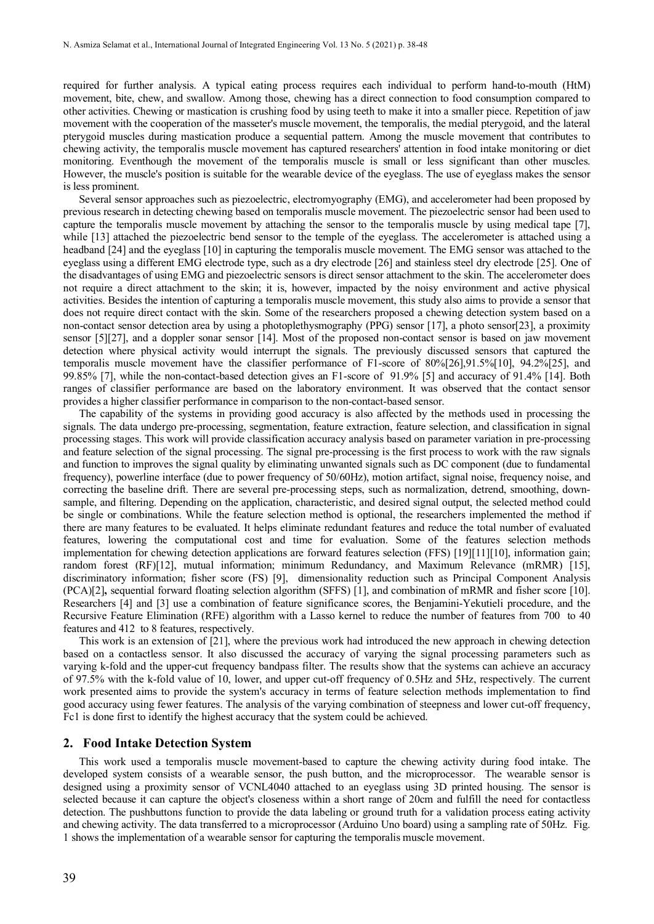required for further analysis. A typical eating process requires each individual to perform hand-to-mouth (HtM) movement, bite, chew, and swallow. Among those, chewing has a direct connection to food consumption compared to other activities. Chewing or mastication is crushing food by using teeth to make it into a smaller piece. Repetition of jaw movement with the cooperation of the masseter's muscle movement, the temporalis, the medial pterygoid, and the lateral pterygoid muscles during mastication produce a sequential pattern. Among the muscle movement that contributes to chewing activity, the temporalis muscle movement has captured researchers' attention in food intake monitoring or diet monitoring. Eventhough the movement of the temporalis muscle is small or less significant than other muscles. However, the muscle's position is suitable for the wearable device of the eyeglass. The use of eyeglass makes the sensor is less prominent.

Several sensor approaches such as piezoelectric, electromyography (EMG), and accelerometer had been proposed by previous research in detecting chewing based on temporalis muscle movement. The piezoelectric sensor had been used to capture the temporalis muscle movement by attaching the sensor to the temporalis muscle by using medical tape [7], while [13] attached the piezoelectric bend sensor to the temple of the eyeglass. The accelerometer is attached using a headband [24] and the eyeglass [10] in capturing the temporalis muscle movement. The EMG sensor was attached to the eyeglass using a different EMG electrode type, such as a dry electrode [26] and stainless steel dry electrode [25]. One of the disadvantages of using EMG and piezoelectric sensors is direct sensor attachment to the skin. The accelerometer does not require a direct attachment to the skin; it is, however, impacted by the noisy environment and active physical activities. Besides the intention of capturing a temporalis muscle movement, this study also aims to provide a sensor that does not require direct contact with the skin. Some of the researchers proposed a chewing detection system based on a non-contact sensor detection area by using a photoplethysmography (PPG) sensor [17], a photo sensor[23], a proximity sensor [5][27], and a doppler sonar sensor [14]. Most of the proposed non-contact sensor is based on jaw movement detection where physical activity would interrupt the signals. The previously discussed sensors that captured the temporalis muscle movement have the classifier performance of F1-score of 80%[26],91.5%[10], 94.2%[25], and 99.85% [7], while the non-contact-based detection gives an F1-score of 91.9% [5] and accuracy of 91.4% [14]. Both ranges of classifier performance are based on the laboratory environment. It was observed that the contact sensor provides a higher classifier performance in comparison to the non-contact-based sensor.

The capability of the systems in providing good accuracy is also affected by the methods used in processing the signals. The data undergo pre-processing, segmentation, feature extraction, feature selection, and classification in signal processing stages. This work will provide classification accuracy analysis based on parameter variation in pre-processing and feature selection of the signal processing. The signal pre-processing is the first process to work with the raw signals and function to improves the signal quality by eliminating unwanted signals such as DC component (due to fundamental frequency), powerline interface (due to power frequency of 50/60Hz), motion artifact, signal noise, frequency noise, and correcting the baseline drift. There are several pre-processing steps, such as normalization, detrend, smoothing, downsample, and filtering. Depending on the application, characteristic, and desired signal output, the selected method could be single or combinations. While the feature selection method is optional, the researchers implemented the method if there are many features to be evaluated. It helps eliminate redundant features and reduce the total number of evaluated features, lowering the computational cost and time for evaluation. Some of the features selection methods implementation for chewing detection applications are forward features selection (FFS) [19][11][10], information gain; random forest (RF)[12], mutual information; minimum Redundancy, and Maximum Relevance (mRMR) [15], discriminatory information; fisher score (FS) [9], dimensionality reduction such as Principal Component Analysis (PCA)[2]**,** sequential forward floating selection algorithm (SFFS) [1], and combination of mRMR and fisher score [10]. Researchers [4] and [3] use a combination of feature significance scores, the Benjamini-Yekutieli procedure, and the Recursive Feature Elimination (RFE) algorithm with a Lasso kernel to reduce the number of features from 700 to 40 features and 412 to 8 features, respectively.

This work is an extension of [21], where the previous work had introduced the new approach in chewing detection based on a contactless sensor. It also discussed the accuracy of varying the signal processing parameters such as varying k-fold and the upper-cut frequency bandpass filter. The results show that the systems can achieve an accuracy of 97.5% with the k-fold value of 10, lower, and upper cut-off frequency of 0.5Hz and 5Hz, respectively. The current work presented aims to provide the system's accuracy in terms of feature selection methods implementation to find good accuracy using fewer features. The analysis of the varying combination of steepness and lower cut-off frequency, Fc1 is done first to identify the highest accuracy that the system could be achieved.

#### **2. Food Intake Detection System**

This work used a temporalis muscle movement-based to capture the chewing activity during food intake. The developed system consists of a wearable sensor, the push button, and the microprocessor. The wearable sensor is designed using a proximity sensor of VCNL4040 attached to an eyeglass using 3D printed housing. The sensor is selected because it can capture the object's closeness within a short range of 20cm and fulfill the need for contactless detection. The pushbuttons function to provide the data labeling or ground truth for a validation process eating activity and chewing activity. The data transferred to a microprocessor (Arduino Uno board) using a sampling rate of 50Hz. Fig. 1 shows the implementation of a wearable sensor for capturing the temporalis muscle movement.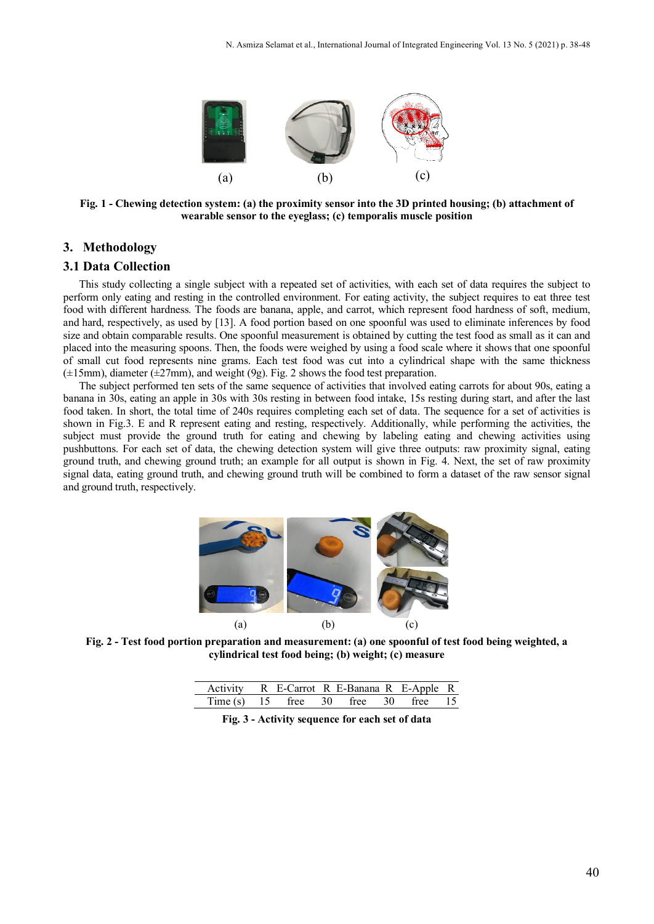

**Fig. 1 - Chewing detection system: (a) the proximity sensor into the 3D printed housing; (b) attachment of wearable sensor to the eyeglass; (c) temporalis muscle position**

# **3. Methodology**

#### **3.1 Data Collection**

This study collecting a single subject with a repeated set of activities, with each set of data requires the subject to perform only eating and resting in the controlled environment. For eating activity, the subject requires to eat three test food with different hardness. The foods are banana, apple, and carrot, which represent food hardness of soft, medium, and hard, respectively, as used by [13]. A food portion based on one spoonful was used to eliminate inferences by food size and obtain comparable results. One spoonful measurement is obtained by cutting the test food as small as it can and placed into the measuring spoons. Then, the foods were weighed by using a food scale where it shows that one spoonful of small cut food represents nine grams. Each test food was cut into a cylindrical shape with the same thickness  $(\pm 15$ mm), diameter ( $\pm 27$ mm), and weight (9g). Fig. 2 shows the food test preparation.

The subject performed ten sets of the same sequence of activities that involved eating carrots for about 90s, eating a banana in 30s, eating an apple in 30s with 30s resting in between food intake, 15s resting during start, and after the last food taken. In short, the total time of 240s requires completing each set of data. The sequence for a set of activities is shown in Fig.3. E and R represent eating and resting, respectively. Additionally, while performing the activities, the subject must provide the ground truth for eating and chewing by labeling eating and chewing activities using pushbuttons. For each set of data, the chewing detection system will give three outputs: raw proximity signal, eating ground truth, and chewing ground truth; an example for all output is shown in Fig. 4. Next, the set of raw proximity signal data, eating ground truth, and chewing ground truth will be combined to form a dataset of the raw sensor signal and ground truth, respectively.



**Fig. 2 - Test food portion preparation and measurement: (a) one spoonful of test food being weighted, a cylindrical test food being; (b) weight; (c) measure**

| Activity R E-Carrot R E-Banana R E-Apple R  |  |  |  |  |
|---------------------------------------------|--|--|--|--|
| Time (s) $15$ free $30$ free $30$ free $15$ |  |  |  |  |

**Fig. 3 - Activity sequence for each set of data**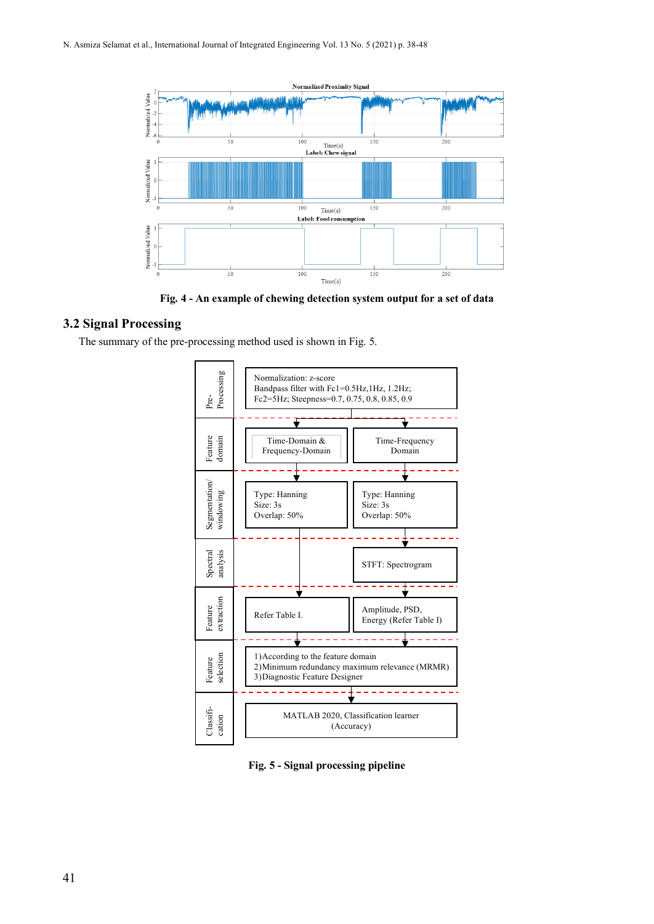

**Fig. 4 - An example of chewing detection system output for a set of data**

# **3.2 Signal Processing**

The summary of the pre-processing method used is shown in Fig. 5.



**Fig. 5 - Signal processing pipeline**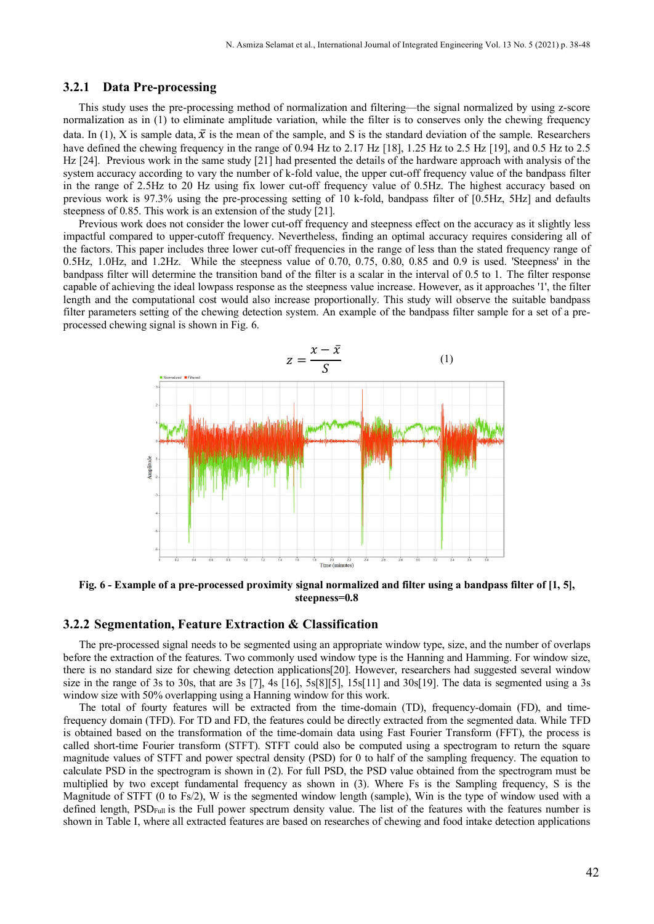#### **3.2.1 Data Pre-processing**

This study uses the pre-processing method of normalization and filtering—the signal normalized by using z-score normalization as in (1) to eliminate amplitude variation, while the filter is to conserves only the chewing frequency data. In (1), X is sample data,  $\bar{x}$  is the mean of the sample, and S is the standard deviation of the sample. Researchers have defined the chewing frequency in the range of 0.94 Hz to 2.17 Hz [18], 1.25 Hz to 2.5 Hz [19], and 0.5 Hz to 2.5 Hz [24]. Previous work in the same study [21] had presented the details of the hardware approach with analysis of the system accuracy according to vary the number of k-fold value, the upper cut-off frequency value of the bandpass filter in the range of 2.5Hz to 20 Hz using fix lower cut-off frequency value of 0.5Hz. The highest accuracy based on previous work is 97.3% using the pre-processing setting of 10 k-fold, bandpass filter of [0.5Hz, 5Hz] and defaults steepness of 0.85. This work is an extension of the study [21].

Previous work does not consider the lower cut-off frequency and steepness effect on the accuracy as it slightly less impactful compared to upper-cutoff frequency. Nevertheless, finding an optimal accuracy requires considering all of the factors. This paper includes three lower cut-off frequencies in the range of less than the stated frequency range of 0.5Hz, 1.0Hz, and 1.2Hz. While the steepness value of 0.70, 0.75, 0.80, 0.85 and 0.9 is used. 'Steepness' in the bandpass filter will determine the transition band of the filter is a scalar in the interval of 0.5 to 1. The filter response capable of achieving the ideal lowpass response as the steepness value increase. However, as it approaches '1', the filter length and the computational cost would also increase proportionally. This study will observe the suitable bandpass filter parameters setting of the chewing detection system. An example of the bandpass filter sample for a set of a preprocessed chewing signal is shown in Fig. 6.



**Fig. 6 - Example of a pre-processed proximity signal normalized and filter using a bandpass filter of [1, 5], steepness=0.8**

# **3.2.2 Segmentation, Feature Extraction & Classification**

The pre-processed signal needs to be segmented using an appropriate window type, size, and the number of overlaps before the extraction of the features. Two commonly used window type is the Hanning and Hamming. For window size, there is no standard size for chewing detection applications[20]. However, researchers had suggested several window size in the range of 3s to 30s, that are 3s [7], 4s [16], 5s[8][5], 15s[11] and 30s[19]. The data is segmented using a 3s window size with 50% overlapping using a Hanning window for this work.

The total of fourty features will be extracted from the time-domain (TD), frequency-domain (FD), and timefrequency domain (TFD). For TD and FD, the features could be directly extracted from the segmented data. While TFD is obtained based on the transformation of the time-domain data using Fast Fourier Transform (FFT), the process is called short-time Fourier transform (STFT). STFT could also be computed using a spectrogram to return the square magnitude values of STFT and power spectral density (PSD) for 0 to half of the sampling frequency. The equation to calculate PSD in the spectrogram is shown in (2). For full PSD, the PSD value obtained from the spectrogram must be multiplied by two except fundamental frequency as shown in (3). Where Fs is the Sampling frequency, S is the Magnitude of STFT (0 to Fs/2), W is the segmented window length (sample), Win is the type of window used with a defined length, PSD<sub>Full</sub> is the Full power spectrum density value. The list of the features with the features number is shown in Table I, where all extracted features are based on researches of chewing and food intake detection applications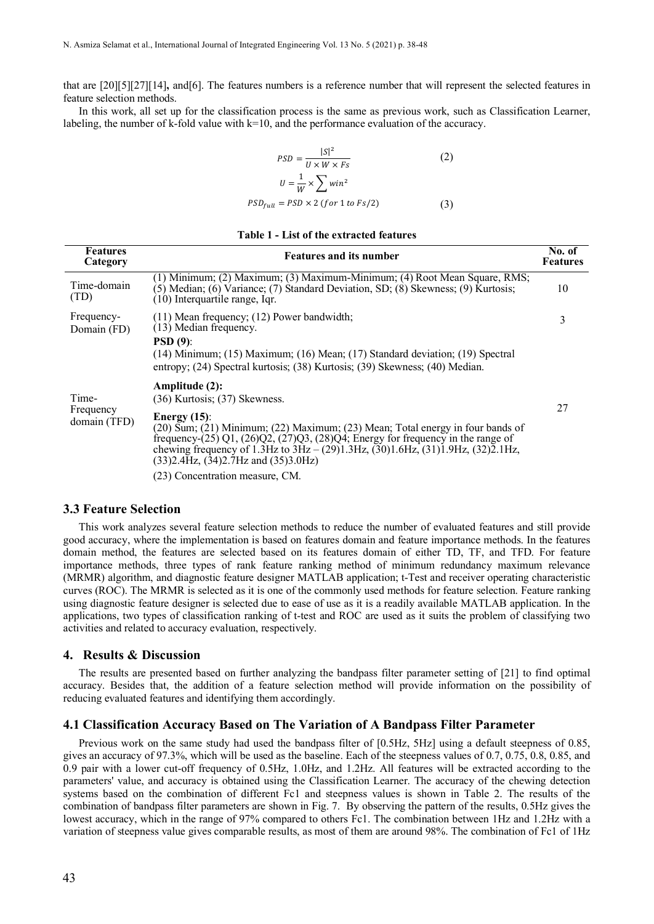that are [20][5][27][14]**,** and[6]. The features numbers is a reference number that will represent the selected features in feature selection methods.

In this work, all set up for the classification process is the same as previous work, such as Classification Learner, labeling, the number of k-fold value with k=10, and the performance evaluation of the accuracy.

$$
PSD = \frac{|S|^2}{U \times W \times Fs} \tag{2}
$$

$$
U = \frac{1}{W} \times \sum \,{win^2}
$$
  
PSD<sub>full</sub> = PSD × 2 (for 1 to Fs/2) (3)

| <b>Features</b><br>Category | <b>Features and its number</b>                                                                                                                                                                                                                                                                                                                  | No. of<br><b>Features</b> |  |  |  |  |  |
|-----------------------------|-------------------------------------------------------------------------------------------------------------------------------------------------------------------------------------------------------------------------------------------------------------------------------------------------------------------------------------------------|---------------------------|--|--|--|--|--|
| Time-domain<br>(TD)         | (1) Minimum; (2) Maximum; (3) Maximum-Minimum; (4) Root Mean Square, RMS;<br>$(5)$ Median; $(6)$ Variance; $(7)$ Standard Deviation, SD; $(8)$ Skewness; $(9)$ Kurtosis;<br>(10) Interquartile range, Iqr.                                                                                                                                      | 10                        |  |  |  |  |  |
| Frequency-<br>Domain (FD)   | $(11)$ Mean frequency; $(12)$ Power bandwidth;<br>(13) Median frequency.                                                                                                                                                                                                                                                                        | 3                         |  |  |  |  |  |
|                             | $PSD(9)$ :<br>(14) Minimum; (15) Maximum; (16) Mean; (17) Standard deviation; (19) Spectral<br>entropy; (24) Spectral kurtosis; (38) Kurtosis; (39) Skewness; (40) Median.                                                                                                                                                                      |                           |  |  |  |  |  |
| Time-                       | Amplitude (2):<br>$(36)$ Kurtosis; $(37)$ Skewness.                                                                                                                                                                                                                                                                                             |                           |  |  |  |  |  |
| Frequency<br>domain (TFD)   | Energy $(15)$ :<br>(20) Sum; (21) Minimum; (22) Maximum; (23) Mean; Total energy in four bands of<br>frequency- $(25)$ Q1, $(26)$ Q2, $(27)$ Q3, $(28)$ Q4; Energy for frequency in the range of<br>chewing frequency of 1.3Hz to $3Hz - (29)1.3Hz$ , $(30)1.6Hz$ , $(31)1.9Hz$ , $(32)2.1Hz$ ,<br>$(33)$ 2.4Hz, $(34)$ 2.7Hz and $(35)$ 3.0Hz) |                           |  |  |  |  |  |
|                             | (23) Concentration measure, CM.                                                                                                                                                                                                                                                                                                                 |                           |  |  |  |  |  |

## **3.3 Feature Selection**

This work analyzes several feature selection methods to reduce the number of evaluated features and still provide good accuracy, where the implementation is based on features domain and feature importance methods. In the features domain method, the features are selected based on its features domain of either TD, TF, and TFD. For feature importance methods, three types of rank feature ranking method of minimum redundancy maximum relevance (MRMR) algorithm, and diagnostic feature designer MATLAB application; t-Test and receiver operating characteristic curves (ROC). The MRMR is selected as it is one of the commonly used methods for feature selection. Feature ranking using diagnostic feature designer is selected due to ease of use as it is a readily available MATLAB application. In the applications, two types of classification ranking of t-test and ROC are used as it suits the problem of classifying two activities and related to accuracy evaluation, respectively.

#### **4. Results & Discussion**

The results are presented based on further analyzing the bandpass filter parameter setting of [21] to find optimal accuracy. Besides that, the addition of a feature selection method will provide information on the possibility of reducing evaluated features and identifying them accordingly.

#### **4.1 Classification Accuracy Based on The Variation of A Bandpass Filter Parameter**

Previous work on the same study had used the bandpass filter of [0.5Hz, 5Hz] using a default steepness of 0.85, gives an accuracy of 97.3%, which will be used as the baseline. Each of the steepness values of 0.7, 0.75, 0.8, 0.85, and 0.9 pair with a lower cut-off frequency of 0.5Hz, 1.0Hz, and 1.2Hz. All features will be extracted according to the parameters' value, and accuracy is obtained using the Classification Learner. The accuracy of the chewing detection systems based on the combination of different Fc1 and steepness values is shown in Table 2. The results of the combination of bandpass filter parameters are shown in Fig. 7. By observing the pattern of the results, 0.5Hz gives the lowest accuracy, which in the range of 97% compared to others Fc1. The combination between 1Hz and 1.2Hz with a variation of steepness value gives comparable results, as most of them are around 98%. The combination of Fc1 of 1Hz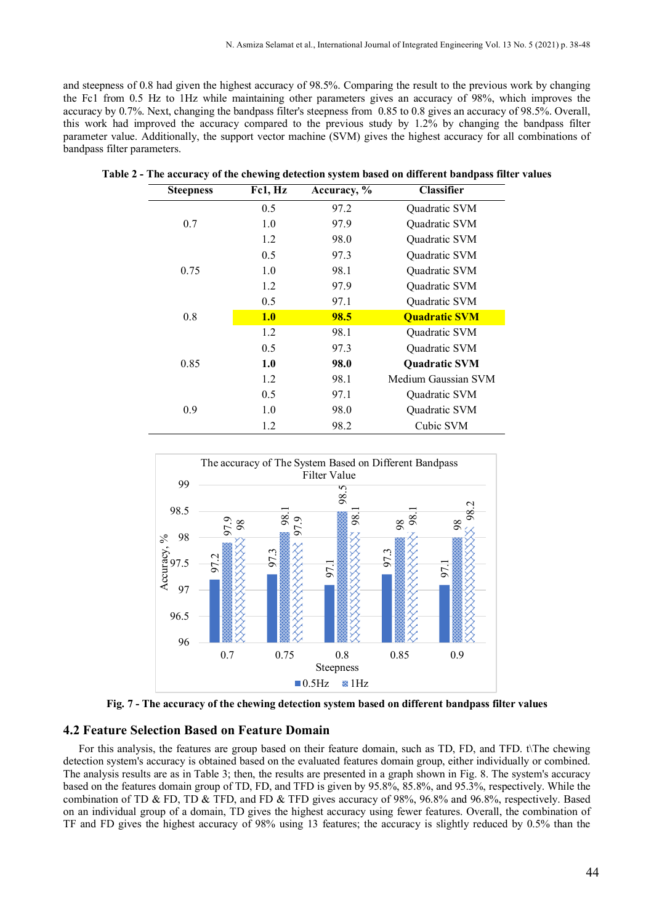and steepness of 0.8 had given the highest accuracy of 98.5%. Comparing the result to the previous work by changing the Fc1 from 0.5 Hz to 1Hz while maintaining other parameters gives an accuracy of 98%, which improves the accuracy by 0.7%. Next, changing the bandpass filter's steepness from 0.85 to 0.8 gives an accuracy of 98.5%. Overall, this work had improved the accuracy compared to the previous study by 1.2% by changing the bandpass filter parameter value. Additionally, the support vector machine (SVM) gives the highest accuracy for all combinations of bandpass filter parameters.

| <b>Steepness</b> | Fc1, Hz | Accuracy, % | <b>Classifier</b>    |
|------------------|---------|-------------|----------------------|
|                  | 0.5     | 97.2        | Quadratic SVM        |
| 0.7              | 1.0     | 97.9        | Quadratic SVM        |
|                  | 1.2     | 98.0        | Quadratic SVM        |
|                  | 0.5     | 97.3        | Quadratic SVM        |
| 0.75             | 1.0     | 98.1        | Quadratic SVM        |
|                  | 1.2     | 97.9        | Quadratic SVM        |
|                  | 0.5     | 97.1        | Quadratic SVM        |
| 0.8              | 1.0     | 98.5        | <b>Ouadratic SVM</b> |
|                  | 1.2     | 98.1        | Quadratic SVM        |
|                  | 0.5     | 97.3        | Quadratic SVM        |
| 0.85             | 1.0     | 98.0        | <b>Ouadratic SVM</b> |
|                  | 1.2     | 98.1        | Medium Gaussian SVM  |
|                  | 0.5     | 97.1        | Quadratic SVM        |
| 0.9              | 1.0     | 98.0        | Quadratic SVM        |
|                  | 1.2     | 98.2        | Cubic SVM            |

**Table 2 - The accuracy of the chewing detection system based on different bandpass filter values**



**Fig. 7 - The accuracy of the chewing detection system based on different bandpass filter values**

# **4.2 Feature Selection Based on Feature Domain**

For this analysis, the features are group based on their feature domain, such as TD, FD, and TFD. t\The chewing detection system's accuracy is obtained based on the evaluated features domain group, either individually or combined. The analysis results are as in Table 3; then, the results are presented in a graph shown in Fig. 8. The system's accuracy based on the features domain group of TD, FD, and TFD is given by 95.8%, 85.8%, and 95.3%, respectively. While the combination of TD & FD, TD & TFD, and FD & TFD gives accuracy of 98%, 96.8% and 96.8%, respectively. Based on an individual group of a domain, TD gives the highest accuracy using fewer features. Overall, the combination of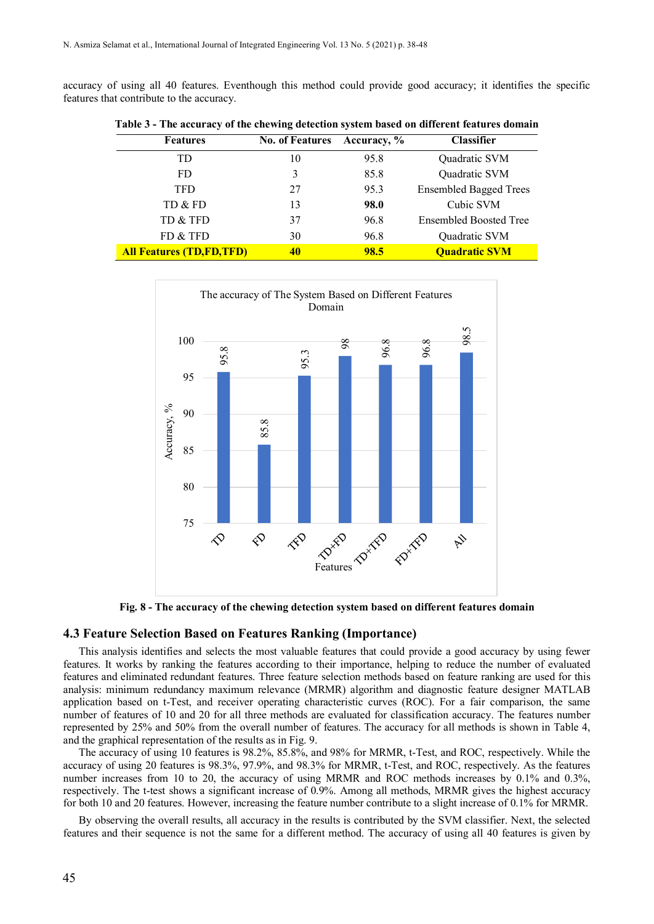accuracy of using all 40 features. Eventhough this method could provide good accuracy; it identifies the specific features that contribute to the accuracy.

| <b>Features</b>                 | <b>No. of Features</b> | Accuracy, % | <b>Classifier</b>             |
|---------------------------------|------------------------|-------------|-------------------------------|
| TD                              | 10                     | 95.8        | Quadratic SVM                 |
| <b>FD</b>                       | 3                      | 85.8        | Quadratic SVM                 |
| <b>TFD</b>                      | 27                     | 95.3        | <b>Ensembled Bagged Trees</b> |
| TD & FD                         | 13                     | 98.0        | Cubic SVM                     |
| TD & TFD                        | 37                     | 96.8        | <b>Ensembled Boosted Tree</b> |
| FD & TFD                        | 30                     | 96.8        | Quadratic SVM                 |
| <b>All Features (TD,FD,TFD)</b> | 40                     | 98.5        | <b>Quadratic SVM</b>          |

**Table 3 - The accuracy of the chewing detection system based on different features domain**



**Fig. 8 - The accuracy of the chewing detection system based on different features domain**

#### **4.3 Feature Selection Based on Features Ranking (Importance)**

This analysis identifies and selects the most valuable features that could provide a good accuracy by using fewer features. It works by ranking the features according to their importance, helping to reduce the number of evaluated features and eliminated redundant features. Three feature selection methods based on feature ranking are used for this analysis: minimum redundancy maximum relevance (MRMR) algorithm and diagnostic feature designer MATLAB application based on t-Test, and receiver operating characteristic curves (ROC). For a fair comparison, the same number of features of 10 and 20 for all three methods are evaluated for classification accuracy. The features number represented by 25% and 50% from the overall number of features. The accuracy for all methods is shown in Table 4, and the graphical representation of the results as in Fig. 9.

The accuracy of using 10 features is 98.2%, 85.8%, and 98% for MRMR, t-Test, and ROC, respectively. While the accuracy of using 20 features is 98.3%, 97.9%, and 98.3% for MRMR, t-Test, and ROC, respectively. As the features number increases from 10 to 20, the accuracy of using MRMR and ROC methods increases by 0.1% and 0.3%, respectively. The t-test shows a significant increase of 0.9%. Among all methods, MRMR gives the highest accuracy for both 10 and 20 features. However, increasing the feature number contribute to a slight increase of 0.1% for MRMR.

By observing the overall results, all accuracy in the results is contributed by the SVM classifier. Next, the selected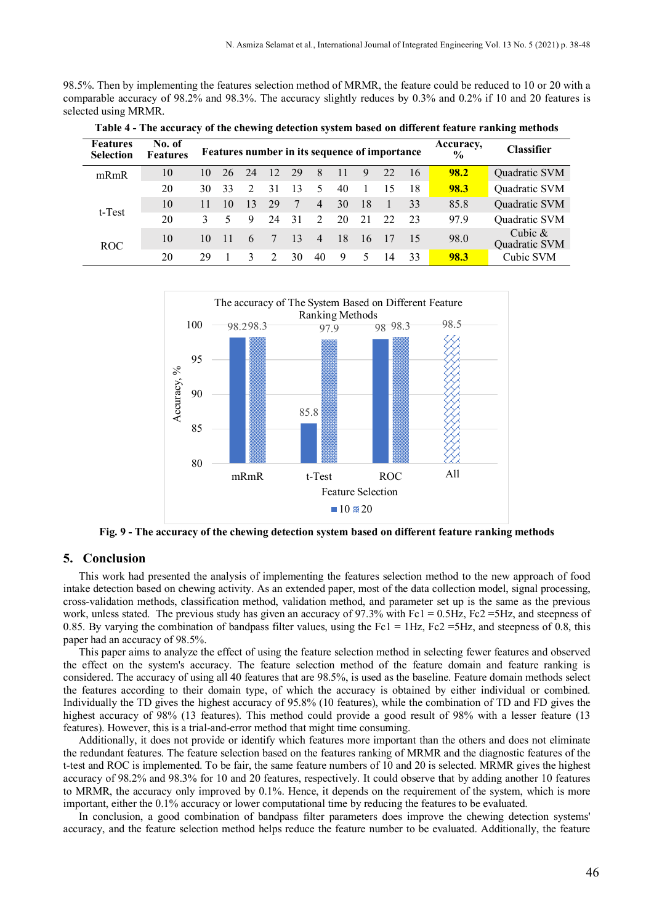98.5%. Then by implementing the features selection method of MRMR, the feature could be reduced to 10 or 20 with a comparable accuracy of 98.2% and 98.3%. The accuracy slightly reduces by 0.3% and 0.2% if 10 and 20 features is selected using MRMR.

| <b>Features</b><br><b>Selection</b> | No. of<br><b>Features</b> |    |    |               |    |     |                |     |    | Features number in its sequence of importance |    | Accuracy,<br>$\frac{0}{0}$ | <b>Classifier</b>          |
|-------------------------------------|---------------------------|----|----|---------------|----|-----|----------------|-----|----|-----------------------------------------------|----|----------------------------|----------------------------|
| mRmR                                | 10                        | 10 | 26 | 24            | 12 | 29  | 8              | 11  | 9  | 22                                            | 16 | <b>98.2</b>                | Quadratic SVM              |
|                                     | 20                        | 30 | 33 | $\mathcal{D}$ | 31 | 13  | 5              | 40  |    | 15                                            | 18 | 98.3                       | Quadratic SVM              |
| t-Test                              | 10                        | 11 | 10 | 13            | 29 | -7  | $\overline{4}$ | 30  | 18 |                                               | 33 | 85.8                       | Quadratic SVM              |
|                                     | 20                        | 3  |    | 9             | 24 | -31 | $\mathcal{D}$  | 20  | 21 | 22                                            | 23 | 97.9                       | Quadratic SVM              |
| ROC                                 | 10                        | 10 | 11 | 6             | 7  | -13 | $\overline{4}$ | -18 | 16 | 17                                            |    | 98.0                       | Cubic $&$<br>Quadratic SVM |
|                                     | 20                        | 29 |    |               |    | 30  | 40             | 9   | 5  | 14                                            | 33 | 98.3                       | Cubic SVM                  |

**Table 4 - The accuracy of the chewing detection system based on different feature ranking methods**



**Fig. 9 - The accuracy of the chewing detection system based on different feature ranking methods**

# **5. Conclusion**

This work had presented the analysis of implementing the features selection method to the new approach of food intake detection based on chewing activity. As an extended paper, most of the data collection model, signal processing, cross-validation methods, classification method, validation method, and parameter set up is the same as the previous work, unless stated. The previous study has given an accuracy of 97.3% with Fc1 = 0.5Hz, Fc2 =5Hz, and steepness of 0.85. By varying the combination of bandpass filter values, using the Fc1 = 1Hz, Fc2 = 5Hz, and steepness of 0.8, this paper had an accuracy of 98.5%.

This paper aims to analyze the effect of using the feature selection method in selecting fewer features and observed the effect on the system's accuracy. The feature selection method of the feature domain and feature ranking is considered. The accuracy of using all 40 features that are 98.5%, is used as the baseline. Feature domain methods select the features according to their domain type, of which the accuracy is obtained by either individual or combined. Individually the TD gives the highest accuracy of 95.8% (10 features), while the combination of TD and FD gives the highest accuracy of 98% (13 features). This method could provide a good result of 98% with a lesser feature (13 features). However, this is a trial-and-error method that might time consuming.

Additionally, it does not provide or identify which features more important than the others and does not eliminate the redundant features. The feature selection based on the features ranking of MRMR and the diagnostic features of the t-test and ROC is implemented. To be fair, the same feature numbers of 10 and 20 is selected. MRMR gives the highest accuracy of 98.2% and 98.3% for 10 and 20 features, respectively. It could observe that by adding another 10 features to MRMR, the accuracy only improved by 0.1%. Hence, it depends on the requirement of the system, which is more important, either the 0.1% accuracy or lower computational time by reducing the features to be evaluated.

In conclusion, a good combination of bandpass filter parameters does improve the chewing detection systems' accuracy, and the feature selection method helps reduce the feature number to be evaluated. Additionally, the feature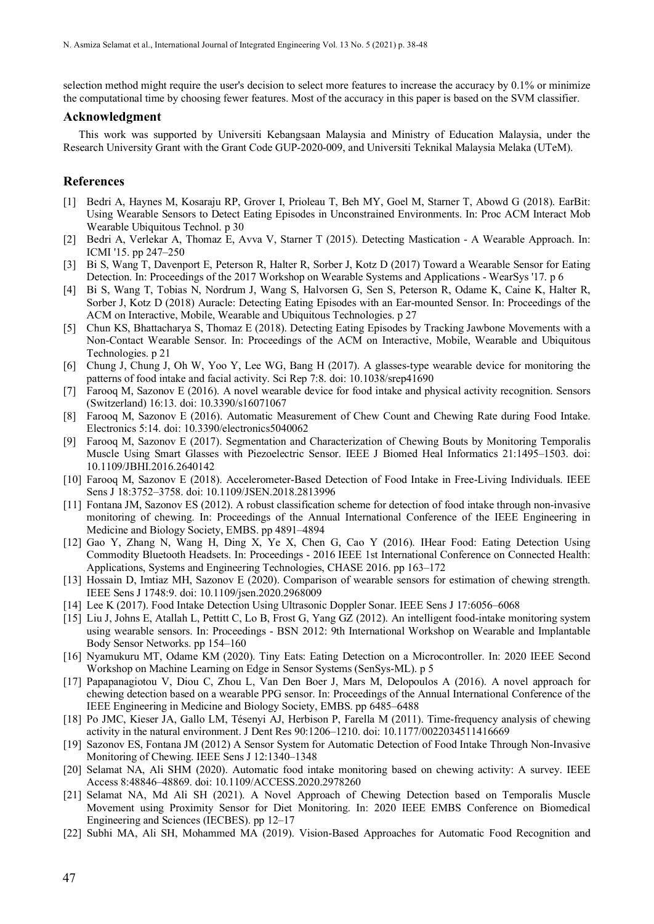selection method might require the user's decision to select more features to increase the accuracy by 0.1% or minimize the computational time by choosing fewer features. Most of the accuracy in this paper is based on the SVM classifier.

#### **Acknowledgment**

This work was supported by Universiti Kebangsaan Malaysia and Ministry of Education Malaysia, under the Research University Grant with the Grant Code GUP-2020-009, and Universiti Teknikal Malaysia Melaka (UTeM).

### **References**

- [1] Bedri A, Haynes M, Kosaraju RP, Grover I, Prioleau T, Beh MY, Goel M, Starner T, Abowd G (2018). EarBit: Using Wearable Sensors to Detect Eating Episodes in Unconstrained Environments. In: Proc ACM Interact Mob Wearable Ubiquitous Technol. p 30
- [2] Bedri A, Verlekar A, Thomaz E, Avva V, Starner T (2015). Detecting Mastication A Wearable Approach. In: ICMI '15. pp 247–250
- [3] Bi S, Wang T, Davenport E, Peterson R, Halter R, Sorber J, Kotz D (2017) Toward a Wearable Sensor for Eating Detection. In: Proceedings of the 2017 Workshop on Wearable Systems and Applications - WearSys '17. p 6
- [4] Bi S, Wang T, Tobias N, Nordrum J, Wang S, Halvorsen G, Sen S, Peterson R, Odame K, Caine K, Halter R, Sorber J, Kotz D (2018) Auracle: Detecting Eating Episodes with an Ear-mounted Sensor. In: Proceedings of the ACM on Interactive, Mobile, Wearable and Ubiquitous Technologies. p 27
- [5] Chun KS, Bhattacharya S, Thomaz E (2018). Detecting Eating Episodes by Tracking Jawbone Movements with a Non-Contact Wearable Sensor. In: Proceedings of the ACM on Interactive, Mobile, Wearable and Ubiquitous Technologies. p 21
- [6] Chung J, Chung J, Oh W, Yoo Y, Lee WG, Bang H (2017). A glasses-type wearable device for monitoring the patterns of food intake and facial activity. Sci Rep 7:8. doi: 10.1038/srep41690
- [7] Farooq M, Sazonov E (2016). A novel wearable device for food intake and physical activity recognition. Sensors (Switzerland) 16:13. doi: 10.3390/s16071067
- [8] Farooq M, Sazonov E (2016). Automatic Measurement of Chew Count and Chewing Rate during Food Intake. Electronics 5:14. doi: 10.3390/electronics5040062
- [9] Farooq M, Sazonov E (2017). Segmentation and Characterization of Chewing Bouts by Monitoring Temporalis Muscle Using Smart Glasses with Piezoelectric Sensor. IEEE J Biomed Heal Informatics 21:1495–1503. doi: 10.1109/JBHI.2016.2640142
- [10] Farooq M, Sazonov E (2018). Accelerometer-Based Detection of Food Intake in Free-Living Individuals. IEEE Sens J 18:3752–3758. doi: 10.1109/JSEN.2018.2813996
- [11] Fontana JM, Sazonov ES (2012). A robust classification scheme for detection of food intake through non-invasive monitoring of chewing. In: Proceedings of the Annual International Conference of the IEEE Engineering in Medicine and Biology Society, EMBS. pp 4891–4894
- [12] Gao Y, Zhang N, Wang H, Ding X, Ye X, Chen G, Cao Y (2016). IHear Food: Eating Detection Using Commodity Bluetooth Headsets. In: Proceedings - 2016 IEEE 1st International Conference on Connected Health: Applications, Systems and Engineering Technologies, CHASE 2016. pp 163–172
- [13] Hossain D, Imtiaz MH, Sazonov E (2020). Comparison of wearable sensors for estimation of chewing strength. IEEE Sens J 1748:9. doi: 10.1109/jsen.2020.2968009
- [14] Lee K (2017). Food Intake Detection Using Ultrasonic Doppler Sonar. IEEE Sens J 17:6056-6068
- [15] Liu J, Johns E, Atallah L, Pettitt C, Lo B, Frost G, Yang GZ (2012). An intelligent food-intake monitoring system using wearable sensors. In: Proceedings - BSN 2012: 9th International Workshop on Wearable and Implantable Body Sensor Networks. pp 154–160
- [16] Nyamukuru MT, Odame KM (2020). Tiny Eats: Eating Detection on a Microcontroller. In: 2020 IEEE Second Workshop on Machine Learning on Edge in Sensor Systems (SenSys-ML). p 5
- [17] Papapanagiotou V, Diou C, Zhou L, Van Den Boer J, Mars M, Delopoulos A (2016). A novel approach for chewing detection based on a wearable PPG sensor. In: Proceedings of the Annual International Conference of the IEEE Engineering in Medicine and Biology Society, EMBS. pp 6485–6488
- [18] Po JMC, Kieser JA, Gallo LM, Tésenyi AJ, Herbison P, Farella M (2011). Time-frequency analysis of chewing activity in the natural environment. J Dent Res 90:1206–1210. doi: 10.1177/0022034511416669
- [19] Sazonov ES, Fontana JM (2012) A Sensor System for Automatic Detection of Food Intake Through Non-Invasive Monitoring of Chewing. IEEE Sens J 12:1340–1348
- [20] Selamat NA, Ali SHM (2020). Automatic food intake monitoring based on chewing activity: A survey. IEEE Access 8:48846–48869. doi: 10.1109/ACCESS.2020.2978260
- [21] Selamat NA, Md Ali SH (2021). A Novel Approach of Chewing Detection based on Temporalis Muscle Movement using Proximity Sensor for Diet Monitoring. In: 2020 IEEE EMBS Conference on Biomedical Engineering and Sciences (IECBES). pp 12–17
- [22] Subhi MA, Ali SH, Mohammed MA (2019). Vision-Based Approaches for Automatic Food Recognition and